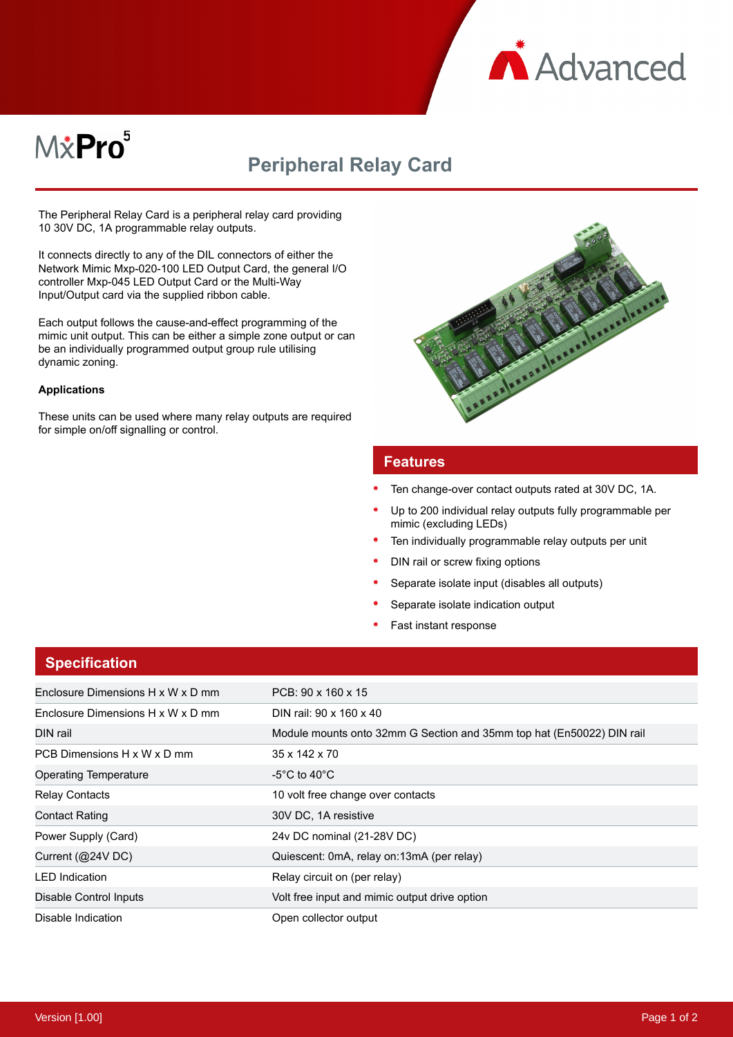

# M&Pro<sup>5</sup>

# **Peripheral Relay Card**

The Peripheral Relay Card is a peripheral relay card providing 10 30V DC, 1A programmable relay outputs.

It connects directly to any of the DIL connectors of either the Network Mimic Mxp-020-100 LED Output Card, the general I/O controller Mxp-045 LED Output Card or the Multi-Way Input/Output card via the supplied ribbon cable.

Each output follows the cause-and-effect programming of the mimic unit output. This can be either a simple zone output or can be an individually programmed output group rule utilising dynamic zoning.

#### **Applications**

These units can be used where many relay outputs are required for simple on/off signalling or control.



#### **Features**

- Ten change-over contact outputs rated at 30V DC, 1A.
- Up to 200 individual relay outputs fully programmable per mimic (excluding LEDs)
- Ten individually programmable relay outputs per unit
- DIN rail or screw fixing options
- Separate isolate input (disables all outputs)
- Separate isolate indication output
- Fast instant response

| <b>Specification</b>              |                                                                       |
|-----------------------------------|-----------------------------------------------------------------------|
| Enclosure Dimensions H x W x D mm | PCB: 90 x 160 x 15                                                    |
| Enclosure Dimensions H x W x D mm | DIN rail: 90 x 160 x 40                                               |
| DIN rail                          | Module mounts onto 32mm G Section and 35mm top hat (En50022) DIN rail |
| PCB Dimensions H x W x D mm       | 35 x 142 x 70                                                         |
| <b>Operating Temperature</b>      | -5°C to 40°C                                                          |
| <b>Relay Contacts</b>             | 10 volt free change over contacts                                     |
| <b>Contact Rating</b>             | 30V DC, 1A resistive                                                  |
| Power Supply (Card)               | 24v DC nominal (21-28V DC)                                            |
| Current (@24V DC)                 | Quiescent: 0mA, relay on:13mA (per relay)                             |
| <b>LED</b> Indication             | Relay circuit on (per relay)                                          |
| Disable Control Inputs            | Volt free input and mimic output drive option                         |
| Disable Indication                | Open collector output                                                 |